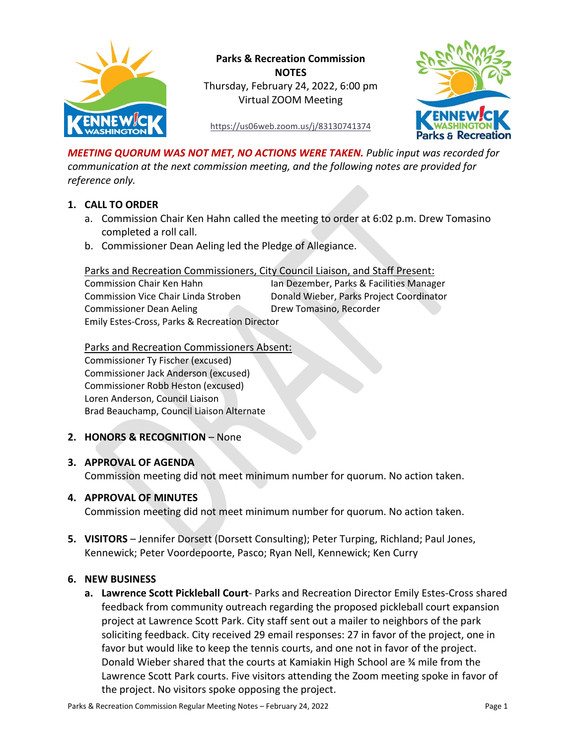

**Parks & Recreation Commission NOTES** Thursday, February 24, 2022, 6:00 pm Virtual ZOOM Meeting



<https://us06web.zoom.us/j/83130741374>

*MEETING QUORUM WAS NOT MET, NO ACTIONS WERE TAKEN. Public input was recorded for communication at the next commission meeting, and the following notes are provided for reference only.*

## **1. CALL TO ORDER**

- a. Commission Chair Ken Hahn called the meeting to order at 6:02 p.m. Drew Tomasino completed a roll call.
- b. Commissioner Dean Aeling led the Pledge of Allegiance.

## Parks and Recreation Commissioners, City Council Liaison, and Staff Present:

| Commission Chair Ken Hahn                                 | Ian Dezember, Parks & Facilities Manager |
|-----------------------------------------------------------|------------------------------------------|
| Commission Vice Chair Linda Stroben                       | Donald Wieber, Parks Project Coordinator |
| <b>Commissioner Dean Aeling</b>                           | Drew Tomasino, Recorder                  |
| <b>Emily Estes-Cross, Parks &amp; Recreation Director</b> |                                          |

Parks and Recreation Commissioners Absent: Commissioner Ty Fischer (excused) Commissioner Jack Anderson (excused) Commissioner Robb Heston (excused) Loren Anderson, Council Liaison Brad Beauchamp, Council Liaison Alternate

## **2. HONORS & RECOGNITION** – None

## **3. APPROVAL OF AGENDA**

Commission meeting did not meet minimum number for quorum. No action taken.

## **4. APPROVAL OF MINUTES**

Commission meeting did not meet minimum number for quorum. No action taken.

**5. VISITORS** – Jennifer Dorsett (Dorsett Consulting); Peter Turping, Richland; Paul Jones, Kennewick; Peter Voordepoorte, Pasco; Ryan Nell, Kennewick; Ken Curry

## **6. NEW BUSINESS**

**a. Lawrence Scott Pickleball Court**- Parks and Recreation Director Emily Estes-Cross shared feedback from community outreach regarding the proposed pickleball court expansion project at Lawrence Scott Park. City staff sent out a mailer to neighbors of the park soliciting feedback. City received 29 email responses: 27 in favor of the project, one in favor but would like to keep the tennis courts, and one not in favor of the project. Donald Wieber shared that the courts at Kamiakin High School are ¾ mile from the Lawrence Scott Park courts. Five visitors attending the Zoom meeting spoke in favor of the project. No visitors spoke opposing the project.